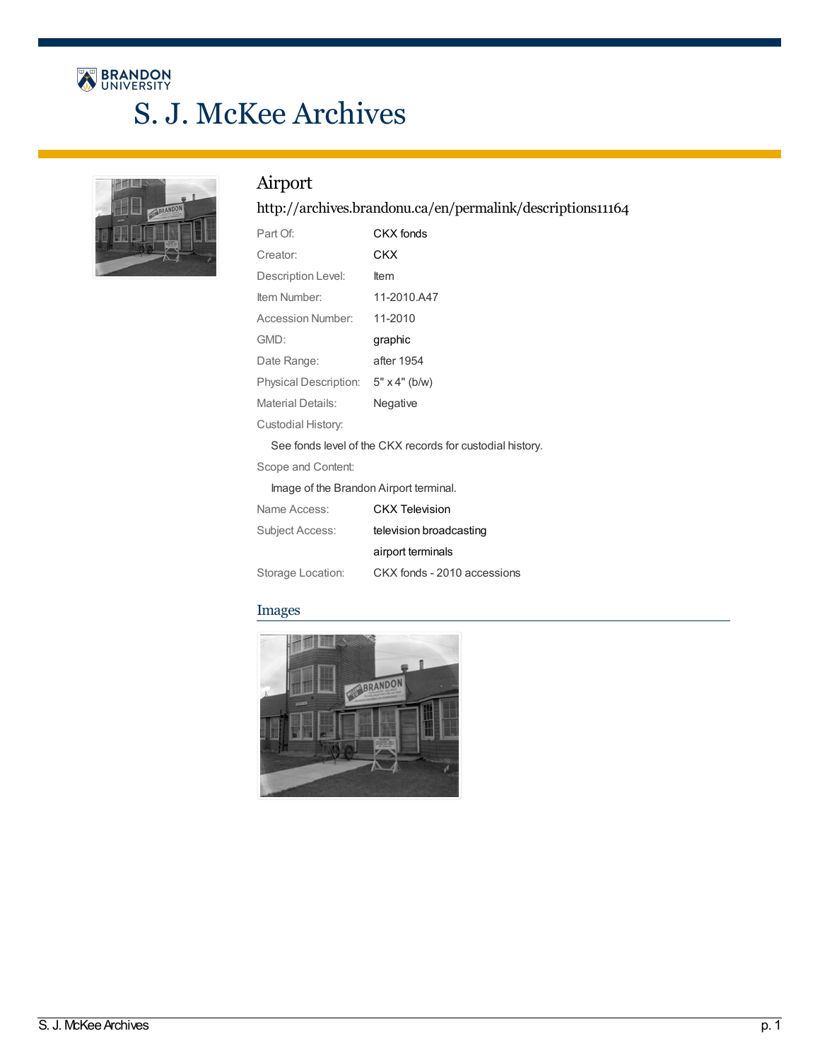# BRANDON S. J. McKee Archives



### Airport

#### <http://archives.brandonu.ca/en/permalink/descriptions11164>

| Part Of:                                                  | CKX fonds                   |  |
|-----------------------------------------------------------|-----------------------------|--|
| Creator:                                                  | CKX                         |  |
| Description Level:                                        | <b>Item</b>                 |  |
| Item Number:                                              | 11-2010.A47                 |  |
| Accession Number:                                         | 11-2010                     |  |
| GMD:                                                      | graphic                     |  |
| Date Range:                                               | after 1954                  |  |
| Physical Description:                                     | $5" \times 4"$ (b/w)        |  |
| <b>Material Details:</b>                                  | Negative                    |  |
| Custodial History:                                        |                             |  |
| See fonds level of the CKX records for custodial history. |                             |  |
| Scope and Content:                                        |                             |  |
| Image of the Brandon Airport terminal.                    |                             |  |
| Name Access:                                              | <b>CKX Television</b>       |  |
| Subject Access:                                           | television broadcasting     |  |
|                                                           | airport terminals           |  |
| Storage Location:                                         | CKX fonds - 2010 accessions |  |

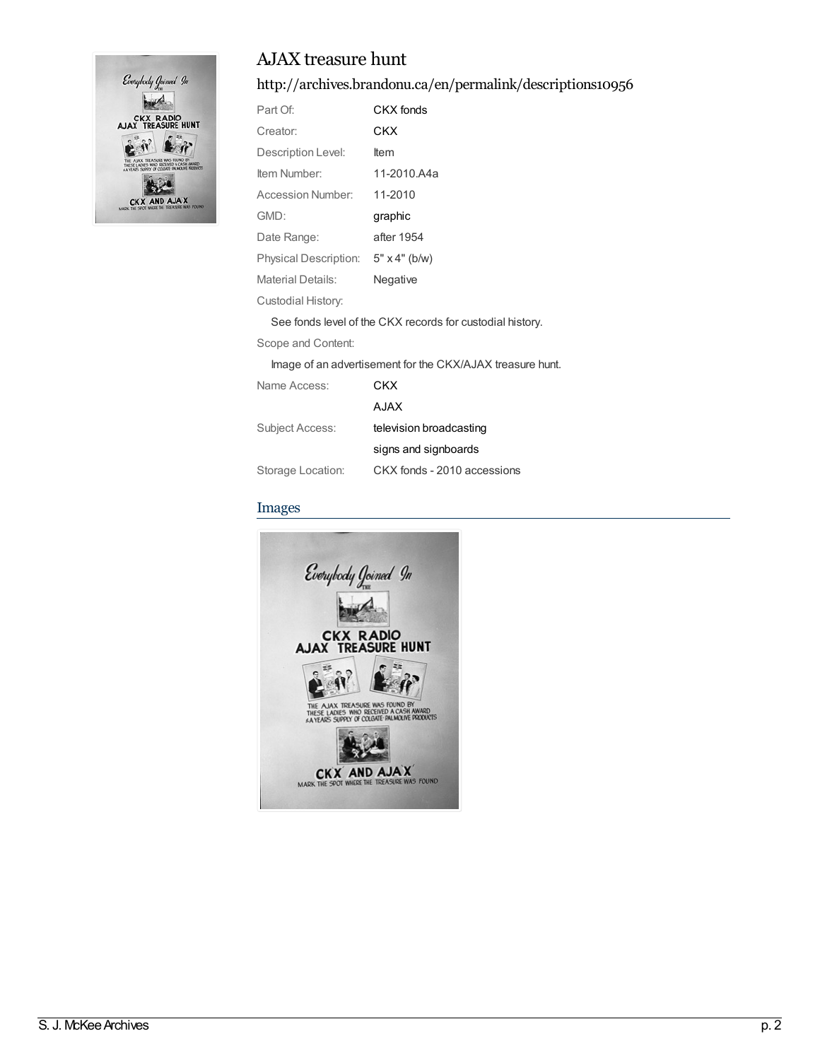

#### <http://archives.brandonu.ca/en/permalink/descriptions10956>

| Part Of:              | CKX fonds                                                 |
|-----------------------|-----------------------------------------------------------|
| Creator:              | CKX                                                       |
| Description Level:    | ltem                                                      |
| Item Number:          | 11-2010.A4a                                               |
| Accession Number:     | 11-2010                                                   |
| GMD:                  | graphic                                                   |
| Date Range:           | after 1954                                                |
| Physical Description: | $5" \times 4"$ (b/w)                                      |
| Material Details:     | Negative                                                  |
| Custodial History:    |                                                           |
|                       | See fonds level of the CKX records for custodial history. |
| Scope and Content:    |                                                           |

Image of an advertisement for the CKX/AJAX treasure hunt.

| Name Access:      | CKX                         |
|-------------------|-----------------------------|
|                   | A.JAX                       |
| Subject Access:   | television broadcasting     |
|                   | signs and signboards        |
| Storage Location: | CKX fonds - 2010 accessions |

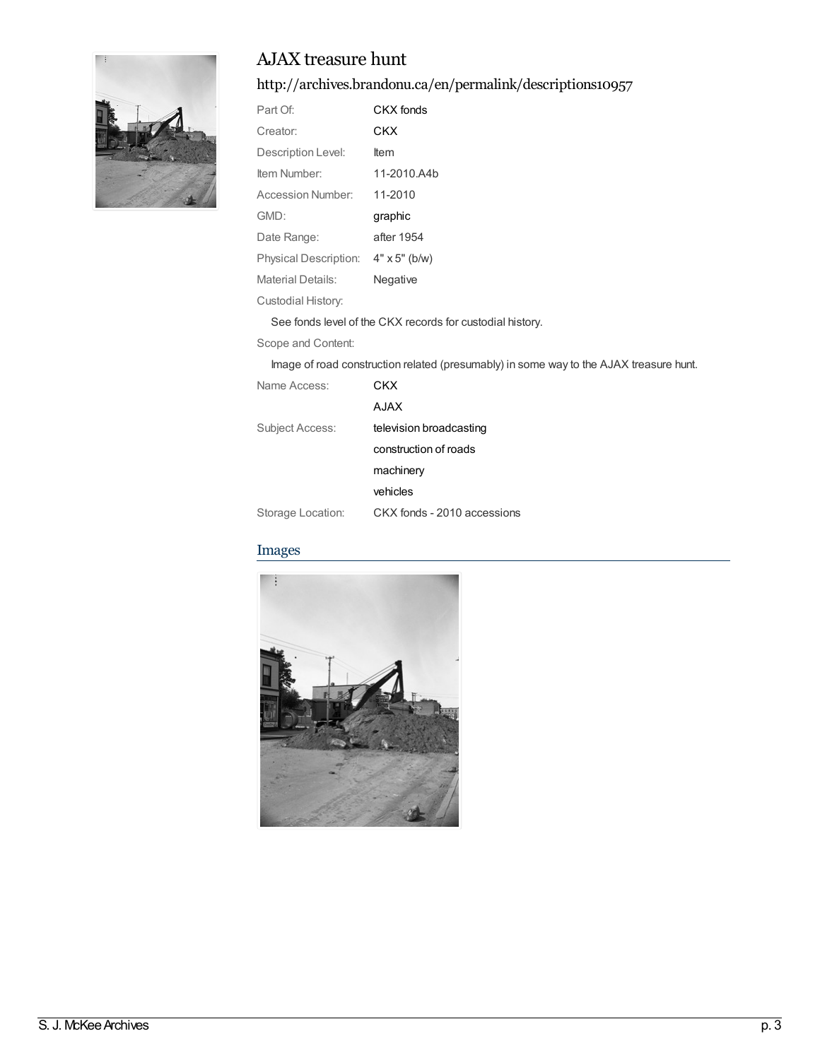

### <http://archives.brandonu.ca/en/permalink/descriptions10957>

| Part Of:              | CKX fonds            |
|-----------------------|----------------------|
| Creator:              | CKX                  |
| Description Level:    | ltem                 |
| Item Number:          | 11-2010.A4b          |
| Accession Number:     | 11-2010              |
|                       |                      |
| GMD:                  | graphic              |
| Date Range:           | after 1954           |
| Physical Description: | $4" \times 5"$ (b/w) |
| Material Details:     | Negative             |

See fonds level of the CKX records for custodial history.

Scope and Content:

Image of road construction related (presumably) in some way to the AJAX treasure hunt.

| Name Access:      | CKX                         |
|-------------------|-----------------------------|
|                   | <b>AJAX</b>                 |
| Subject Access:   | television broadcasting     |
|                   | construction of roads       |
|                   | machinery                   |
|                   | vehicles                    |
| Storage Location: | CKX fonds - 2010 accessions |

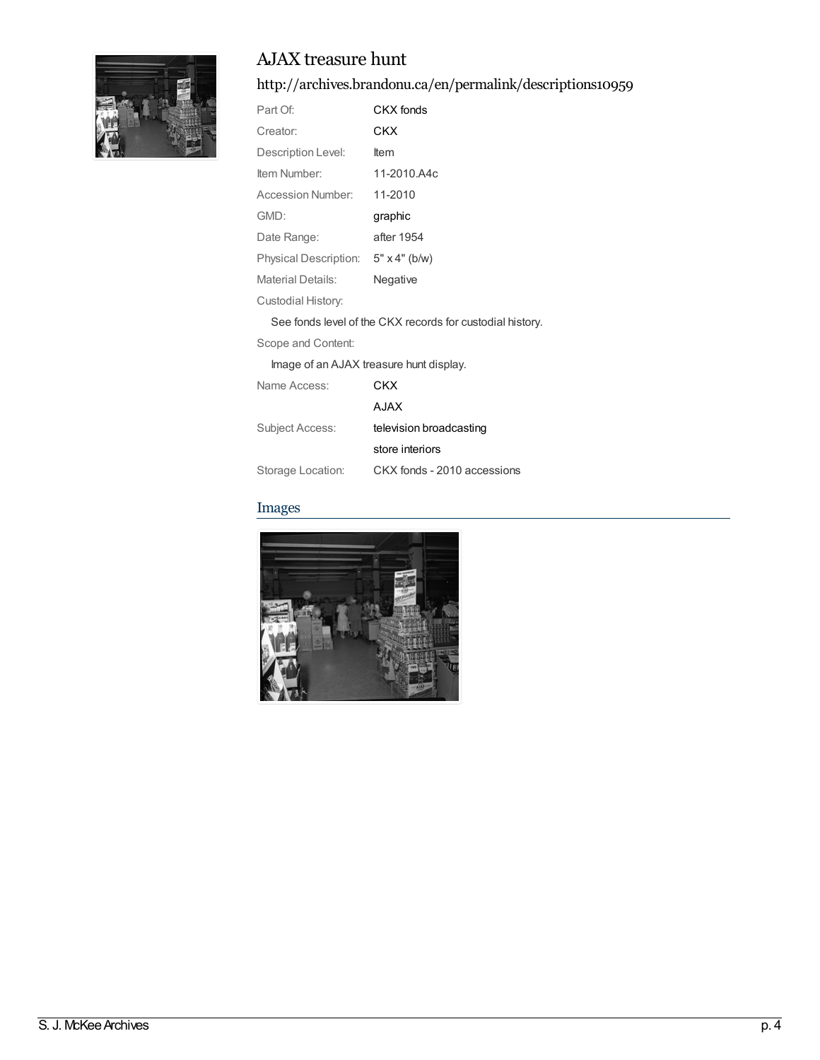

<http://archives.brandonu.ca/en/permalink/descriptions10959>

| Part Of:                                | CKX fonds                                                 |
|-----------------------------------------|-----------------------------------------------------------|
| Creator:                                | CKX                                                       |
| Description Level:                      | <b>Item</b>                                               |
| Item Number:                            | 11-2010.A4c                                               |
| Accession Number:                       | 11-2010                                                   |
| GMD:                                    | graphic                                                   |
| Date Range:                             | after 1954                                                |
| Physical Description:                   | $5" \times 4"$ (b/w)                                      |
| <b>Material Details:</b>                | Negative                                                  |
| Custodial History:                      |                                                           |
|                                         | See fonds level of the CKX records for custodial history. |
| Scope and Content:                      |                                                           |
| Image of an AJAX treasure hunt display. |                                                           |
| Name Access:                            | CKX                                                       |
|                                         | A.JAX                                                     |

Subject Access: television [broadcasting](http://archives.brandonu.ca/en/list?q=topic%3a%22television+broadcasting%22&p=1&ps=&sort=title_sort+asc) store [interiors](http://archives.brandonu.ca/en/list?q=topic%3a%22store+interiors%22&p=1&ps=&sort=title_sort+asc) Storage Location: CKX fonds - 2010 accessions

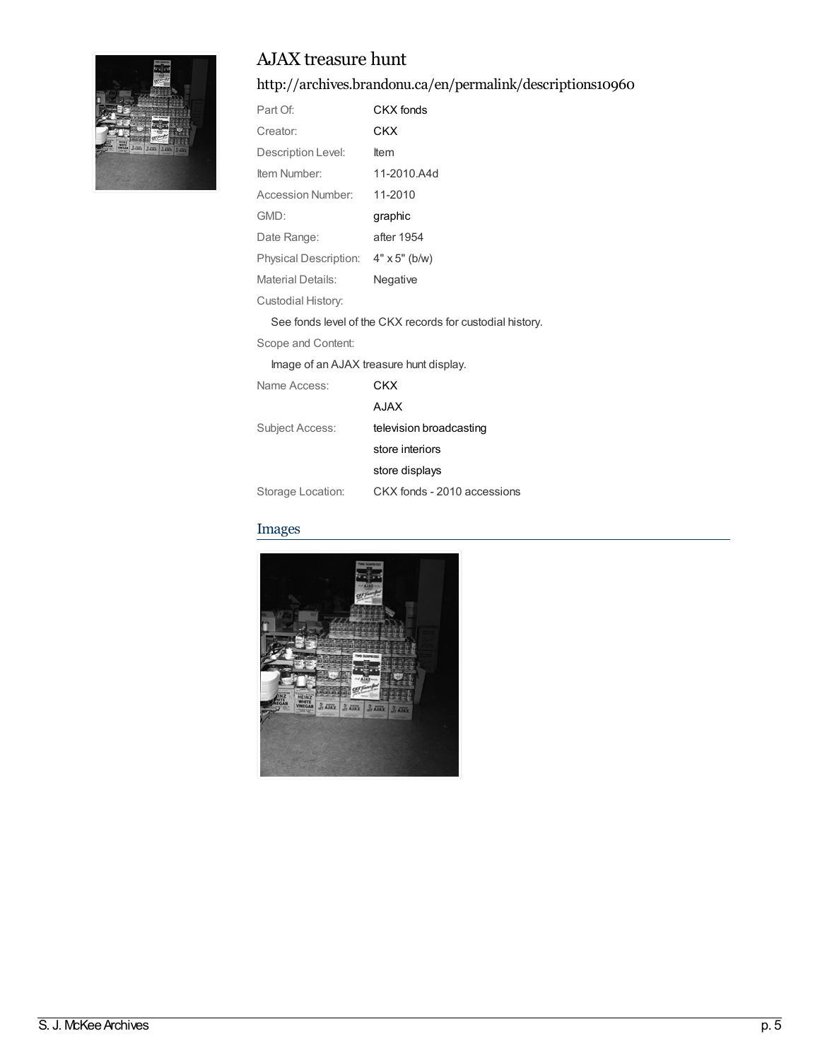<http://archives.brandonu.ca/en/permalink/descriptions10960>

| Part Of:                                                  | CKX fonds                               |  |
|-----------------------------------------------------------|-----------------------------------------|--|
| Creator:                                                  | CKX                                     |  |
| Description Level:                                        | <b>Item</b>                             |  |
| Item Number:                                              | 11-2010.A4d                             |  |
| Accession Number:                                         | 11-2010                                 |  |
| GMD:                                                      | graphic                                 |  |
| Date Range:                                               | after 1954                              |  |
| <b>Physical Description:</b>                              | $4" \times 5"$ (b/w)                    |  |
| <b>Material Details:</b>                                  | Negative                                |  |
| Custodial History:                                        |                                         |  |
| See fonds level of the CKX records for custodial history. |                                         |  |
| Scope and Content:                                        |                                         |  |
|                                                           | Image of an AJAX treasure hunt display. |  |
| Name Access:                                              | CKX                                     |  |
|                                                           | A.JAX                                   |  |

Subject Access: television [broadcasting](http://archives.brandonu.ca/en/list?q=topic%3a%22television+broadcasting%22&p=1&ps=&sort=title_sort+asc)

store [interiors](http://archives.brandonu.ca/en/list?q=topic%3a%22store+interiors%22&p=1&ps=&sort=title_sort+asc)

store [displays](http://archives.brandonu.ca/en/list?q=topic%3a%22store+displays%22&p=1&ps=&sort=title_sort+asc) Storage Location: CKX fonds - 2010 accessions

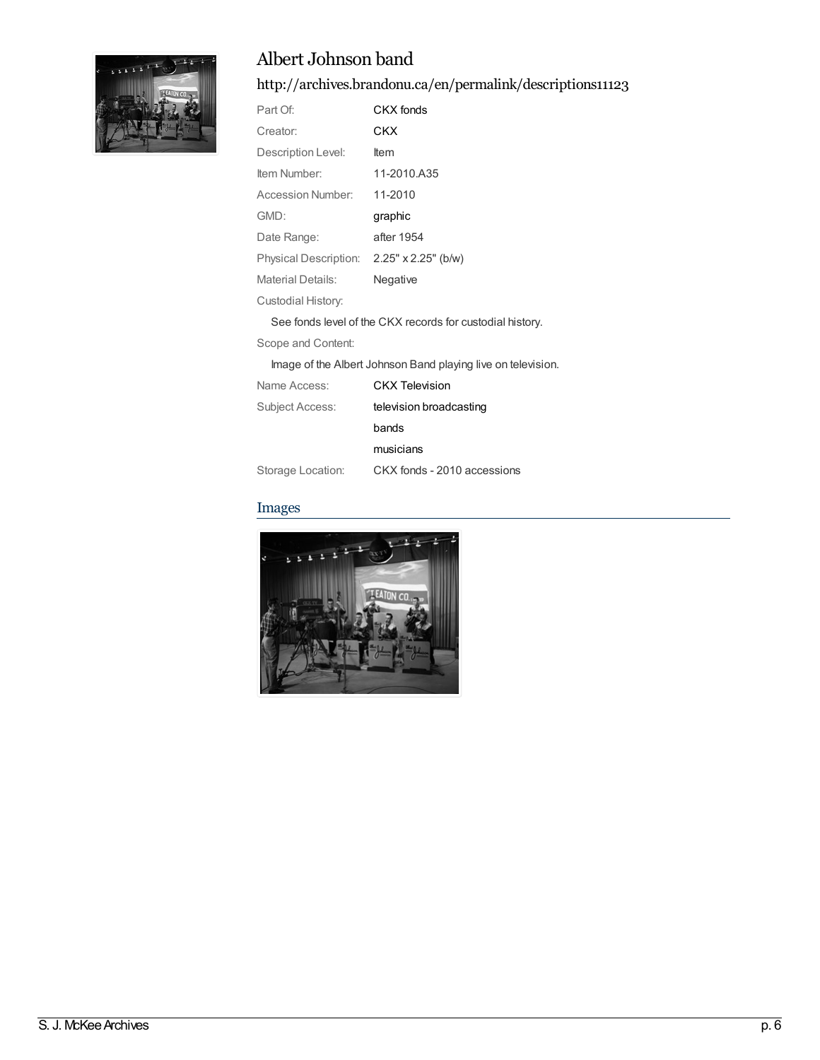

### Albert Johnson band

<http://archives.brandonu.ca/en/permalink/descriptions11123>

| Part Of:                                                     | CKX fonds                                                 |
|--------------------------------------------------------------|-----------------------------------------------------------|
| Creator:                                                     | CKX                                                       |
| Description Level:                                           | ltem                                                      |
| Item Number:                                                 | 11-2010.A35                                               |
| Accession Number:                                            | 11-2010                                                   |
| GMD:                                                         | graphic                                                   |
| Date Range:                                                  | after 1954                                                |
| Physical Description: 2.25" x 2.25" (b/w)                    |                                                           |
| Material Details:                                            | Negative                                                  |
| Custodial History:                                           |                                                           |
|                                                              | See fonds level of the CKX records for custodial history. |
| Scope and Content:                                           |                                                           |
| Image of the Albert Johnson Band playing live on television. |                                                           |

| Name Access:      | <b>CKX Television</b>       |
|-------------------|-----------------------------|
| Subject Access:   | television broadcasting     |
|                   | bands                       |
|                   | musicians                   |
| Storage Location: | CKX fonds - 2010 accessions |

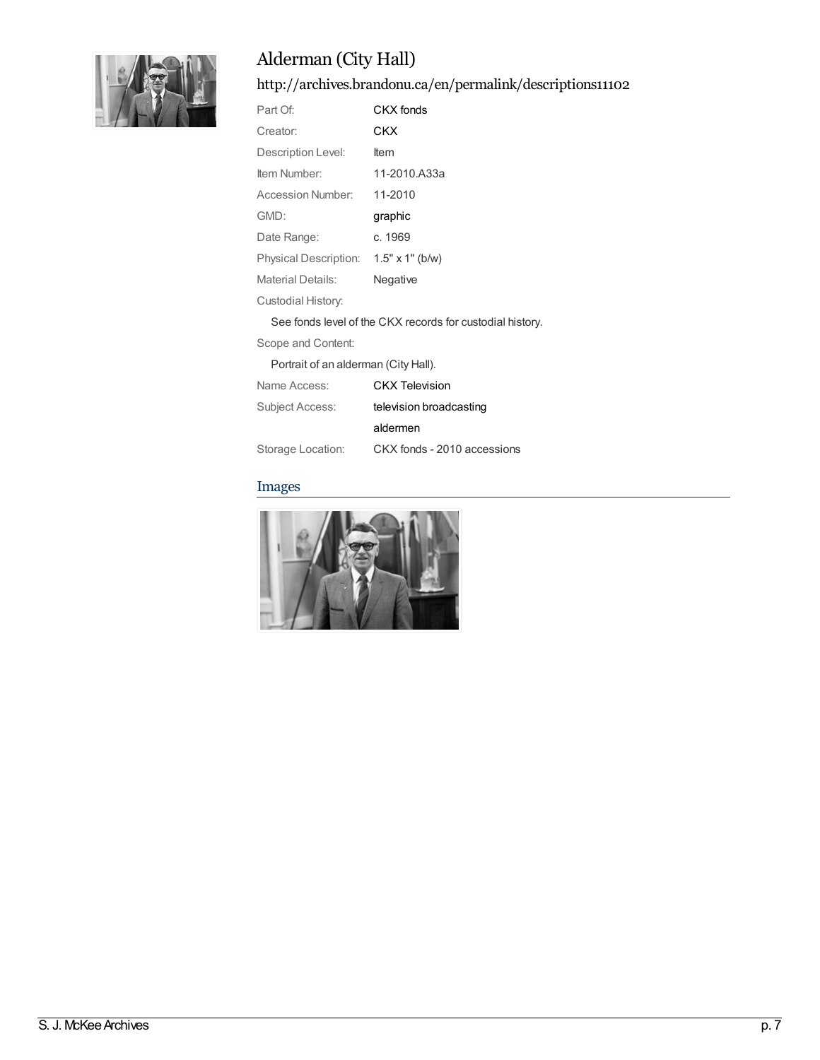

<http://archives.brandonu.ca/en/permalink/descriptions11102>

| Part Of:                 | CKX fonds                                                     |
|--------------------------|---------------------------------------------------------------|
| Creator:                 | CKX                                                           |
| Description Level:       | ltem                                                          |
| Item Number:             | 11-2010.A33a                                                  |
| Accession Number:        | 11-2010                                                       |
| GMD:                     | graphic                                                       |
| Date Range:              | c. 1969                                                       |
| Physical Description:    | $1.5" \times 1"$ (b/w)                                        |
| <b>Material Details:</b> | Negative                                                      |
| Custodial History:       |                                                               |
|                          | On a family langely files. OIAV as a such family attached the |

See fonds level of the CKX records for custodial history.

Scope and Content:

Portrait of an alderman (City Hall).

| Name Access:      | <b>CKX</b> Television       |
|-------------------|-----------------------------|
| Subject Access:   | television broadcasting     |
|                   | aldermen                    |
| Storage Location: | CKX fonds - 2010 accessions |

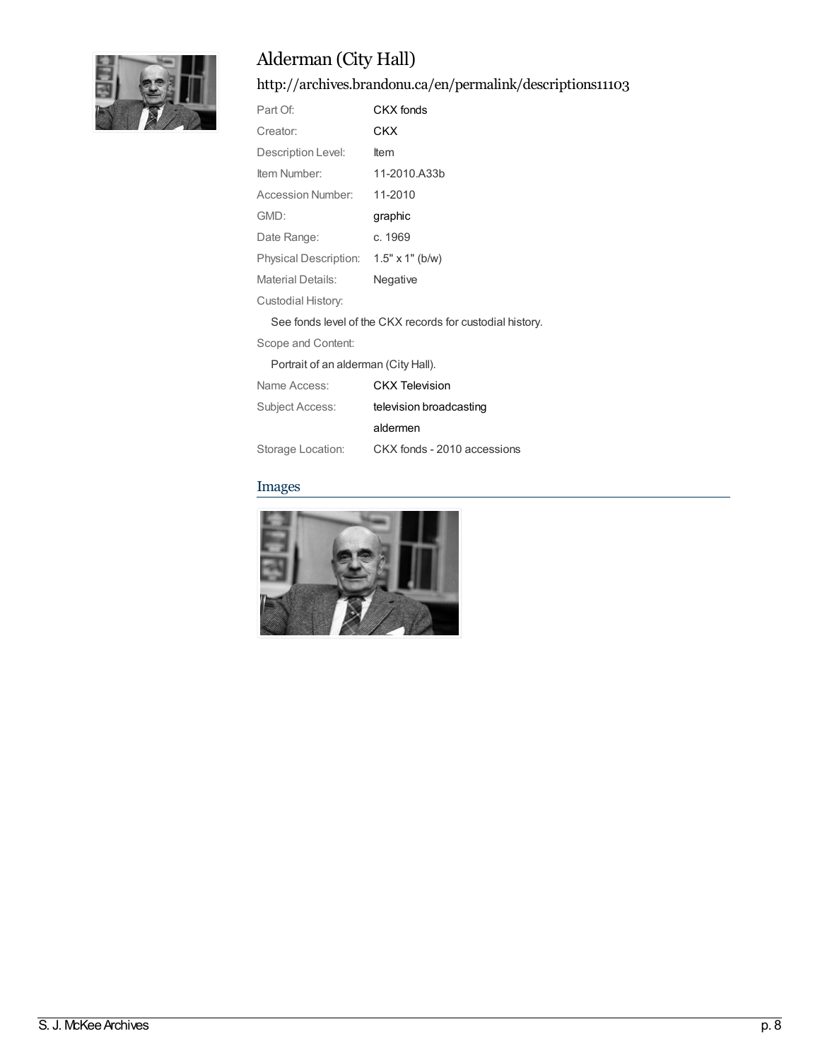

<http://archives.brandonu.ca/en/permalink/descriptions11103>

| Part Of:                 | CKX fonds                                                     |
|--------------------------|---------------------------------------------------------------|
| Creator:                 | CKX                                                           |
| Description Level:       | ltem                                                          |
| Item Number:             | 11-2010.A33b                                                  |
| Accession Number:        | 11-2010                                                       |
| GMD:                     | graphic                                                       |
| Date Range:              | c. 1969                                                       |
| Physical Description:    | $1.5" \times 1"$ (b/w)                                        |
| <b>Material Details:</b> | Negative                                                      |
| Custodial History:       |                                                               |
|                          | On a familia la collafilla OIAV na acosta fan acosta dial bia |

See fonds level of the CKX records for custodial history.

Scope and Content:

Portrait of an alderman (City Hall).

| Name Access:      | <b>CKX Television</b>       |
|-------------------|-----------------------------|
| Subject Access:   | television broadcasting     |
|                   | aldermen                    |
| Storage Location: | CKX fonds - 2010 accessions |

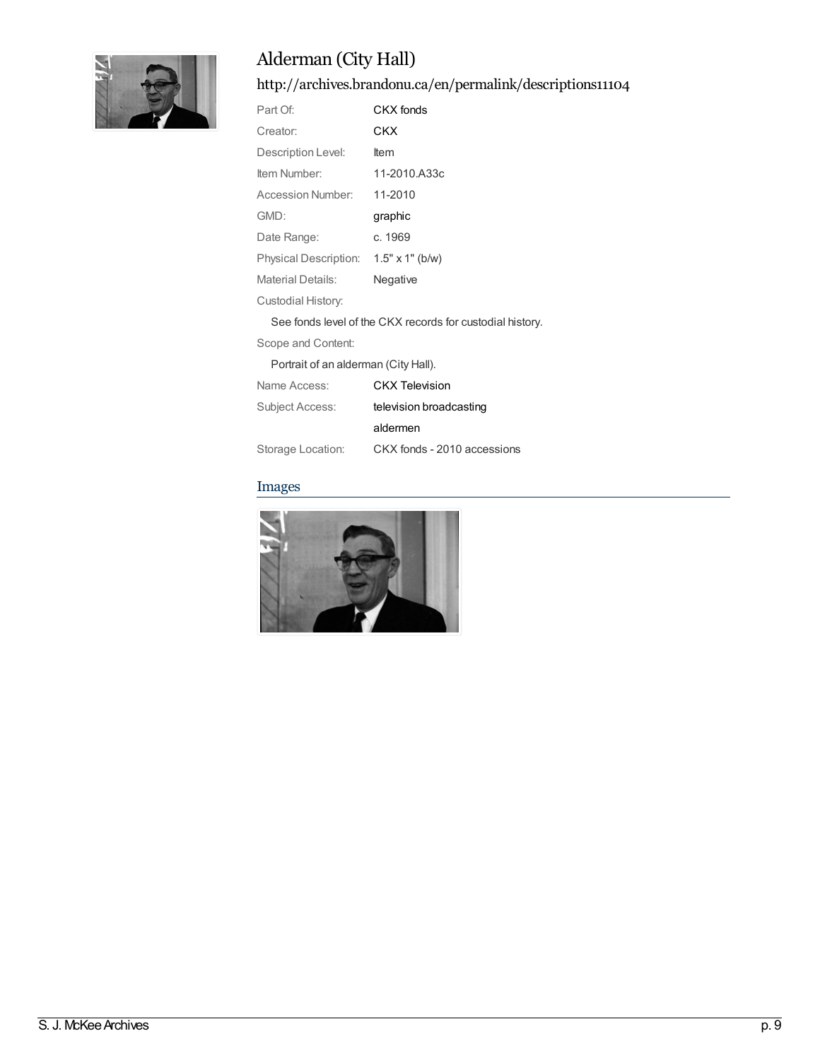

<http://archives.brandonu.ca/en/permalink/descriptions11104>

| Part Of:                                                  | CKX fonds              |
|-----------------------------------------------------------|------------------------|
| Creator:                                                  | CKX                    |
| Description Level:                                        | ltem                   |
| Item Number:                                              | 11-2010.A33c           |
| Accession Number:                                         | 11-2010                |
| GMD:                                                      | graphic                |
| Date Range:                                               | c. 1969                |
| Physical Description:                                     | $1.5" \times 1"$ (b/w) |
| Material Details:                                         | Negative               |
| Custodial History:                                        |                        |
| See fonds level of the CKX records for custodial history. |                        |

Scope and Content:

Portrait of an alderman (City Hall).

| Name Access:      | <b>CKX Television</b>       |
|-------------------|-----------------------------|
| Subject Access:   | television broadcasting     |
|                   | aldermen                    |
| Storage Location: | CKX fonds - 2010 accessions |

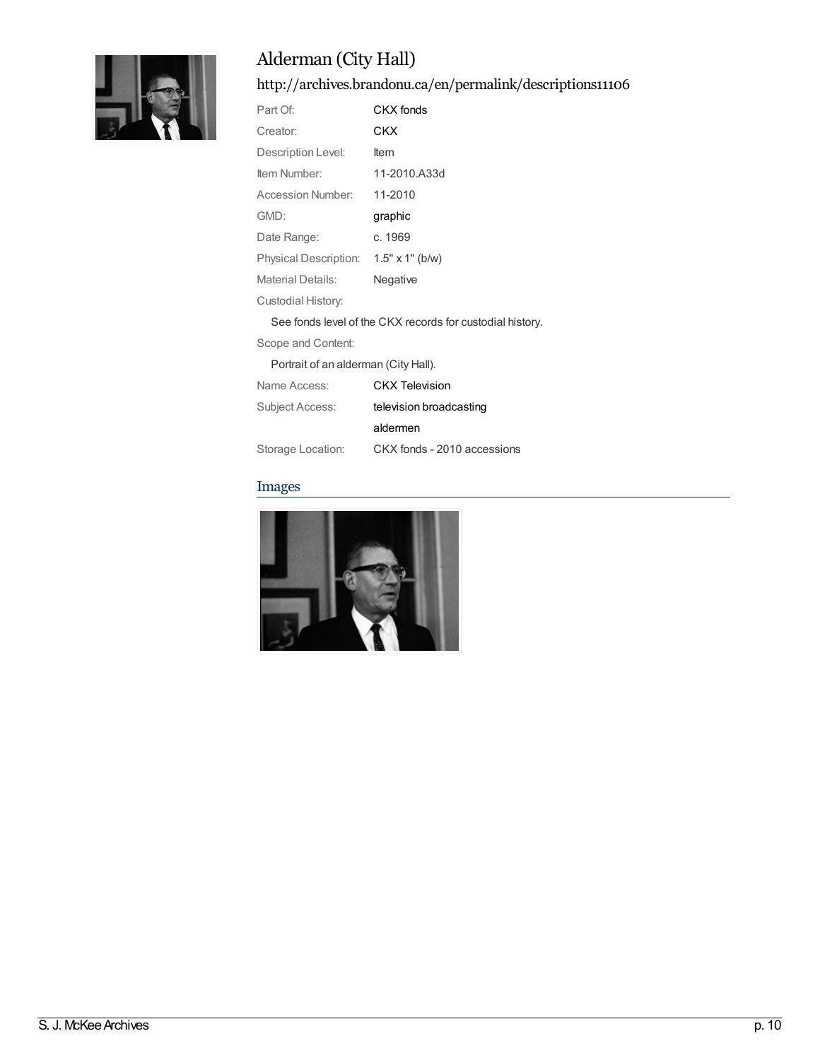

<http://archives.brandonu.ca/en/permalink/descriptions11106>

| Part Of:                              | CKX fonds    |
|---------------------------------------|--------------|
| Creator:                              | CKX          |
| Description Level:                    | <b>Item</b>  |
| Item Number:                          | 11-2010.A33d |
| Accession Number:                     | 11-2010      |
| GMD:                                  | graphic      |
| Date Range:                           | c. 1969      |
| Physical Description: 1.5" x 1" (b/w) |              |
| <b>Material Details:</b>              | Negative     |
| Custodial History:                    |              |
|                                       |              |

See fonds level of the CKX records for custodial history.

Scope and Content:

Portrait of an alderman (City Hall).

| Name Access:      | <b>CKX</b> Television       |
|-------------------|-----------------------------|
| Subject Access:   | television broadcasting     |
|                   | aldermen                    |
| Storage Location: | CKX fonds - 2010 accessions |

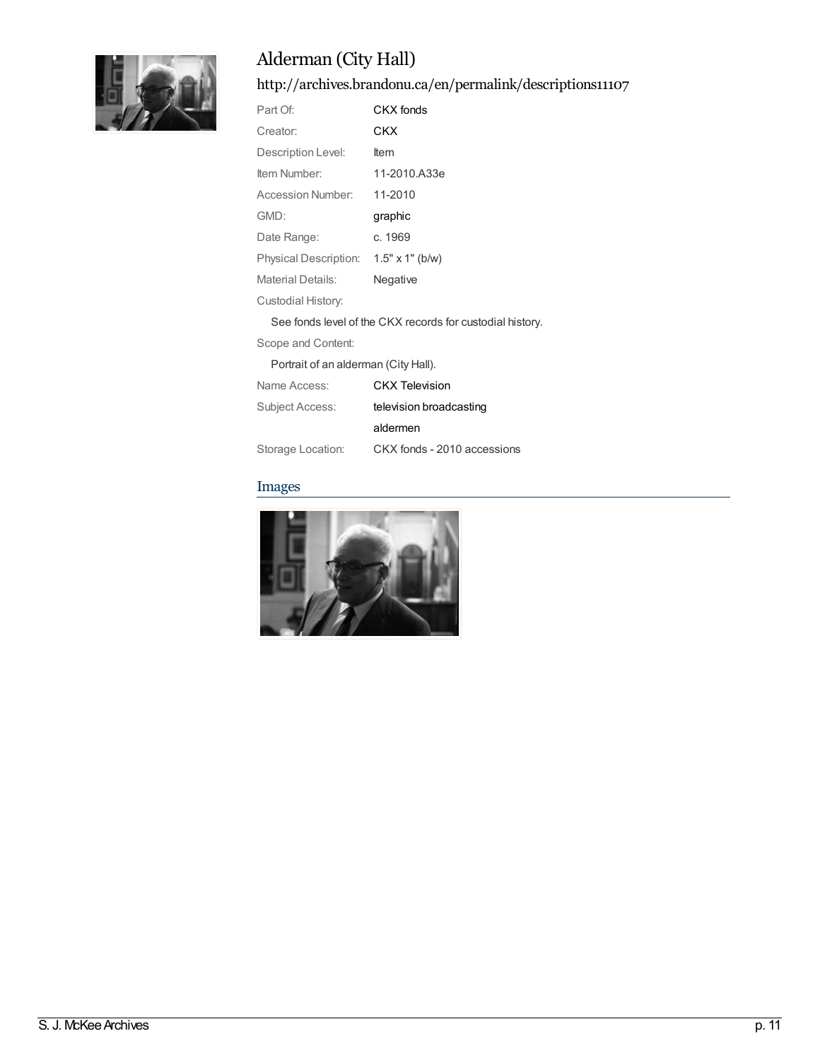

<http://archives.brandonu.ca/en/permalink/descriptions11107>

| Part Of:                                                  | CKX fonds              |
|-----------------------------------------------------------|------------------------|
| Creator:                                                  | CKX                    |
| Description Level:                                        | ltem                   |
| Item Number:                                              | 11-2010.A33e           |
| Accession Number:                                         | 11-2010                |
| GMD:                                                      | graphic                |
| Date Range:                                               | c. 1969                |
| Physical Description:                                     | $1.5" \times 1"$ (b/w) |
| Material Details:                                         | Negative               |
| Custodial History:                                        |                        |
| See fonds level of the CKX records for custodial history. |                        |

Scope and Content:

Portrait of an alderman (City Hall).

| Name Access:      | <b>CKX Television</b>       |
|-------------------|-----------------------------|
| Subject Access:   | television broadcasting     |
|                   | aldermen                    |
| Storage Location: | CKX fonds - 2010 accessions |

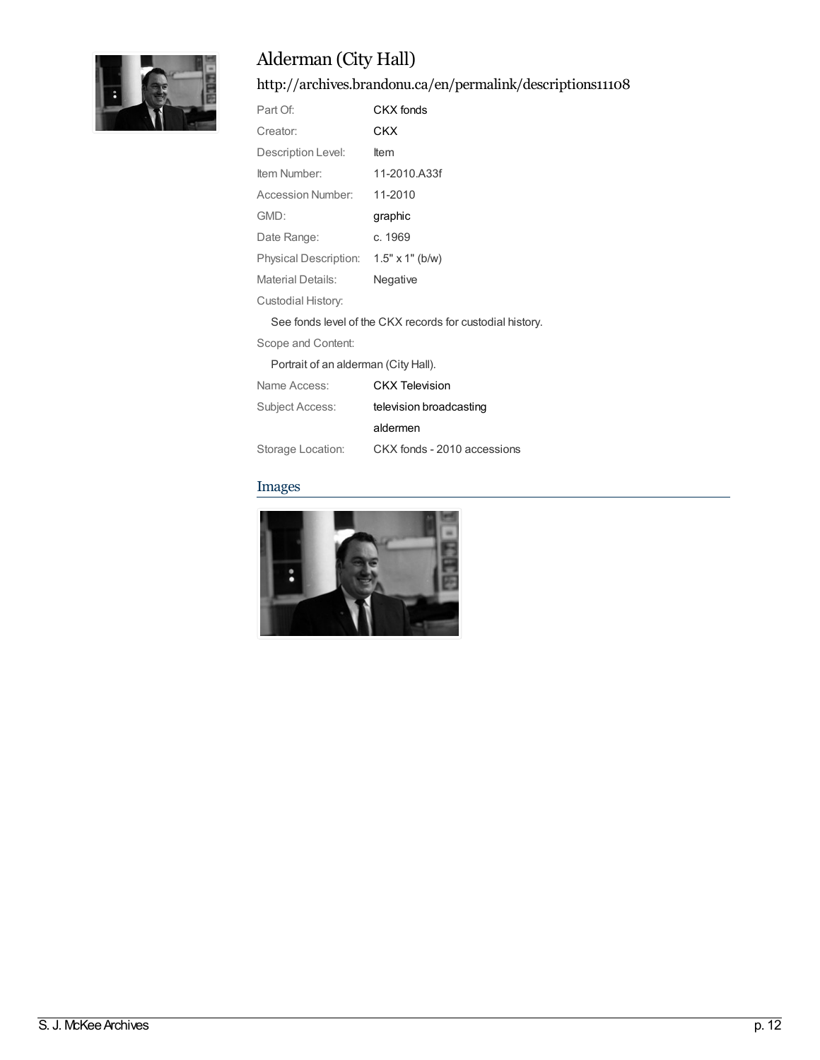

<http://archives.brandonu.ca/en/permalink/descriptions11108>

| Part Of:                 | CKX fonds                                                   |
|--------------------------|-------------------------------------------------------------|
| Creator:                 | CKX                                                         |
| Description Level:       | ltem                                                        |
| Item Number:             | 11-2010.A33f                                                |
| Accession Number:        | 11-2010                                                     |
| GMD:                     | graphic                                                     |
| Date Range:              | c. 1969                                                     |
| Physical Description:    | $1.5" \times 1"$ (b/w)                                      |
| <b>Material Details:</b> | Negative                                                    |
| Custodial History:       |                                                             |
|                          | 0 - - frank krash - file - 01/V ar reads fra carte diel bis |

See fonds level of the CKX records for custodial history.

Scope and Content:

Portrait of an alderman (City Hall).

| Name Access:      | <b>CKX Television</b>       |
|-------------------|-----------------------------|
| Subject Access:   | television broadcasting     |
|                   | aldermen                    |
| Storage Location: | CKX fonds - 2010 accessions |

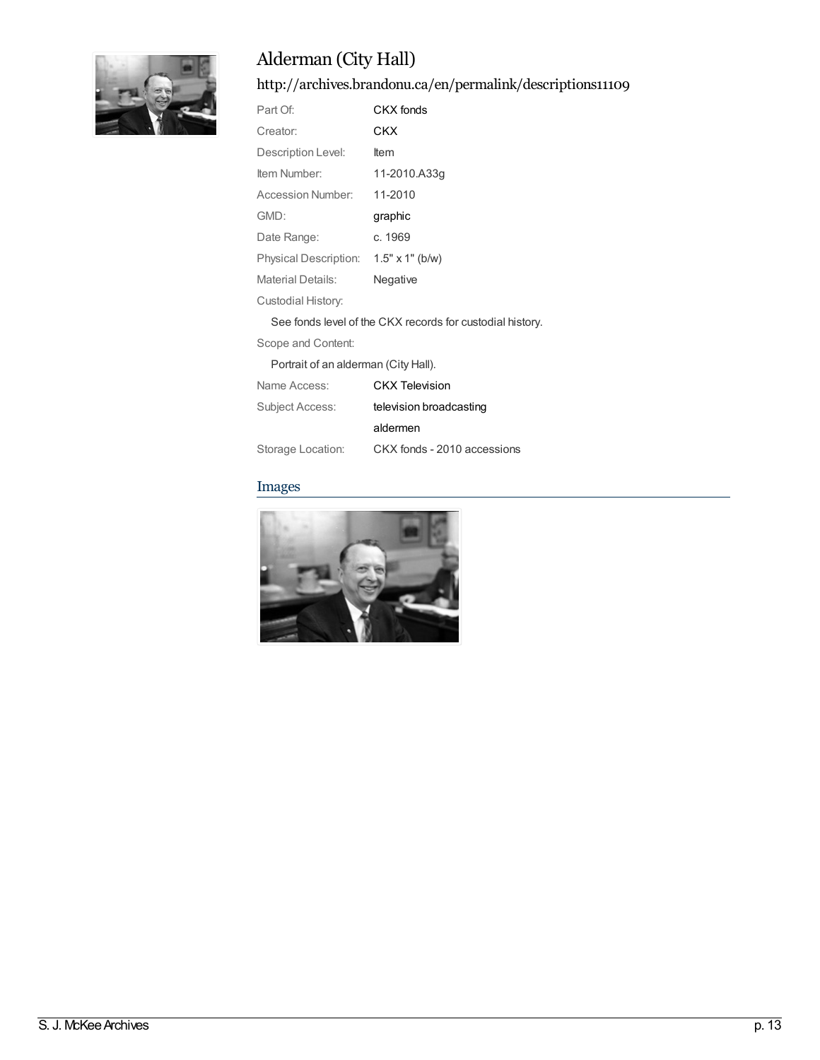

<http://archives.brandonu.ca/en/permalink/descriptions11109>

| Part Of:                                                  | CKX fonds              |
|-----------------------------------------------------------|------------------------|
| Creator:                                                  | CKX                    |
| Description Level:                                        | ltem                   |
| Item Number:                                              | 11-2010.A33q           |
| Accession Number:                                         | 11-2010                |
| GMD:                                                      | graphic                |
| Date Range:                                               | c. 1969                |
| Physical Description:                                     | $1.5" \times 1"$ (b/w) |
| <b>Material Details:</b>                                  | Negative               |
| Custodial History:                                        |                        |
| See fonds level of the CKX records for custodial history. |                        |

Scope and Content:

Portrait of an alderman (City Hall).

| Name Access:      | <b>CKX Television</b>       |
|-------------------|-----------------------------|
| Subject Access:   | television broadcasting     |
|                   | aldermen                    |
| Storage Location: | CKX fonds - 2010 accessions |

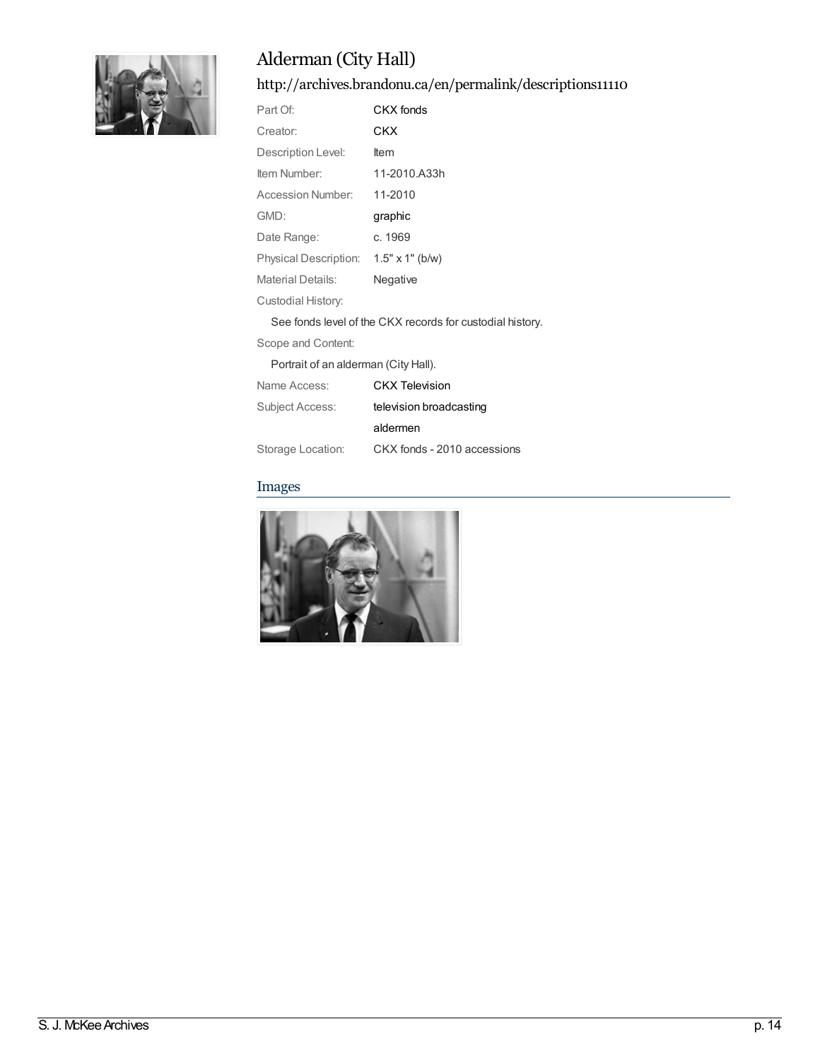

<http://archives.brandonu.ca/en/permalink/descriptions11110>

| Part Of:                                                  | CKX fonds              |
|-----------------------------------------------------------|------------------------|
| Creator:                                                  | CKX                    |
| Description Level:                                        | ltem                   |
| Item Number:                                              | 11-2010.A33h           |
| Accession Number:                                         | 11-2010                |
| GMD:                                                      | graphic                |
| Date Range:                                               | c. 1969                |
| Physical Description:                                     | $1.5" \times 1"$ (b/w) |
| Material Details:                                         | Negative               |
| Custodial History:                                        |                        |
| See fonds level of the CKX records for custodial history. |                        |

Scope and Content:

Portrait of an alderman (City Hall).

| Name Access:           | <b>CKX Television</b>       |
|------------------------|-----------------------------|
| <b>Subject Access:</b> | television broadcasting     |
|                        | aldermen                    |
| Storage Location:      | CKX fonds - 2010 accessions |

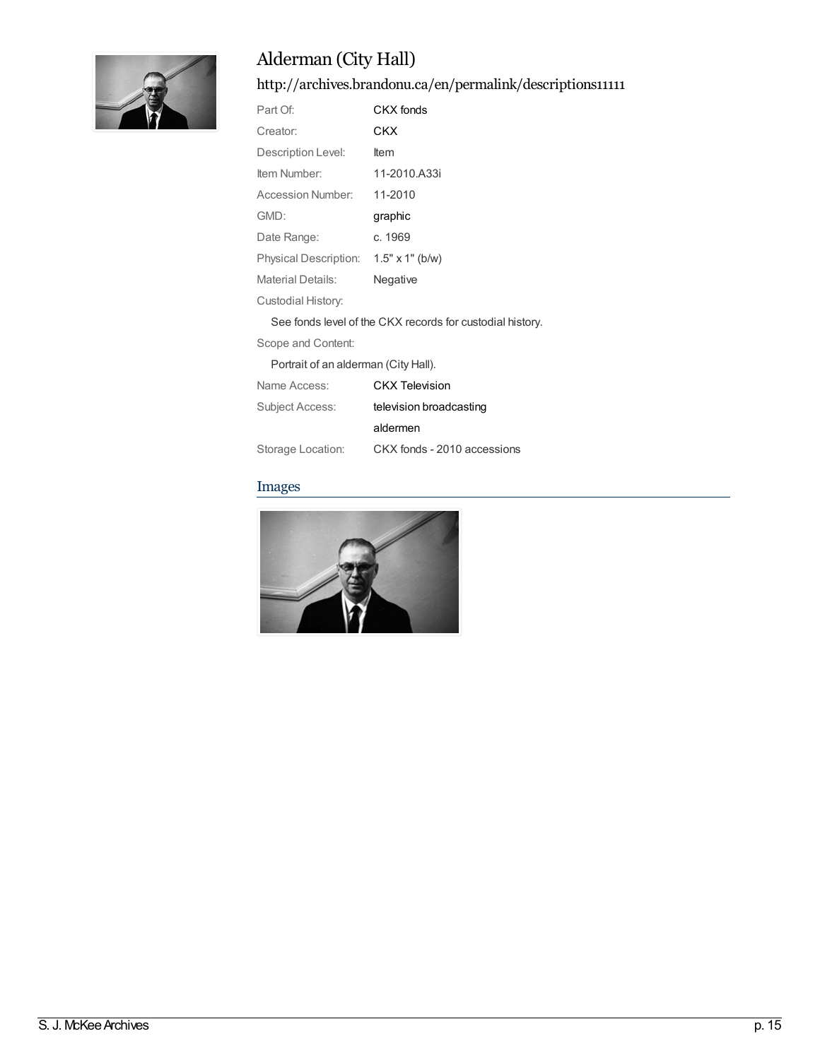

<http://archives.brandonu.ca/en/permalink/descriptions11111>

| Part Of:                                                  | CKX fonds              |
|-----------------------------------------------------------|------------------------|
| Creator:                                                  | CKX                    |
| Description Level:                                        | ltem                   |
| Item Number:                                              | 11-2010.A33i           |
| Accession Number:                                         | 11-2010                |
| GMD:                                                      | graphic                |
| Date Range:                                               | c. 1969                |
| <b>Physical Description:</b>                              | $1.5" \times 1"$ (b/w) |
| Material Details:                                         | Negative               |
| Custodial History:                                        |                        |
| See fonds level of the CKX records for custodial history. |                        |

Scope and Content:

Portrait of an alderman (City Hall).

| Name Access:      | <b>CKX Television</b>       |
|-------------------|-----------------------------|
| Subject Access:   | television broadcasting     |
|                   | aldermen                    |
| Storage Location: | CKX fonds - 2010 accessions |

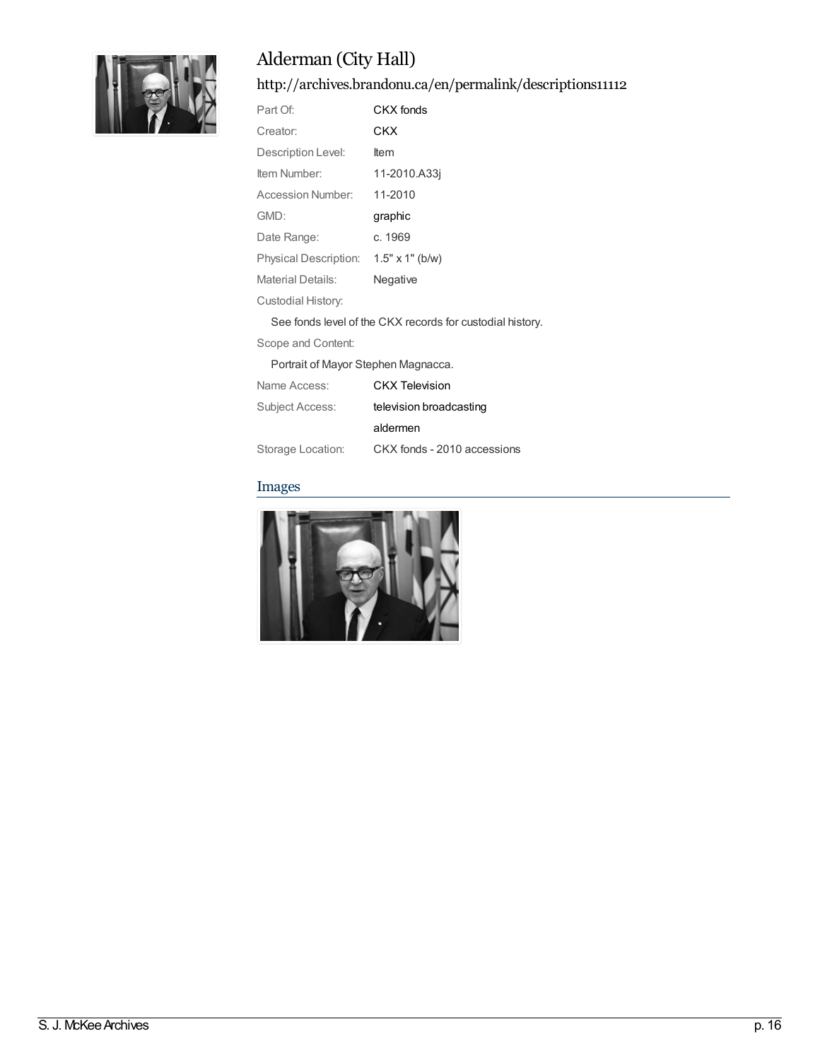

<http://archives.brandonu.ca/en/permalink/descriptions11112>

| Part Of:                     | CKX fonds              |
|------------------------------|------------------------|
| Creator:                     | CKX                    |
| Description Level:           | ltem                   |
| Item Number:                 | 11-2010.A33i           |
| Accession Number:            | 11-2010                |
| GMD:                         | graphic                |
| Date Range:                  | c. 1969                |
| <b>Physical Description:</b> | $1.5" \times 1"$ (b/w) |
| Material Details:            | Negative               |
| Custodial History:           |                        |

See fonds level of the CKX records for custodial history.

Scope and Content:

Portrait of Mayor Stephen Magnacca.

| Name Access:      | <b>CKX Television</b>       |
|-------------------|-----------------------------|
| Subject Access:   | television broadcasting     |
|                   | aldermen                    |
| Storage Location: | CKX fonds - 2010 accessions |

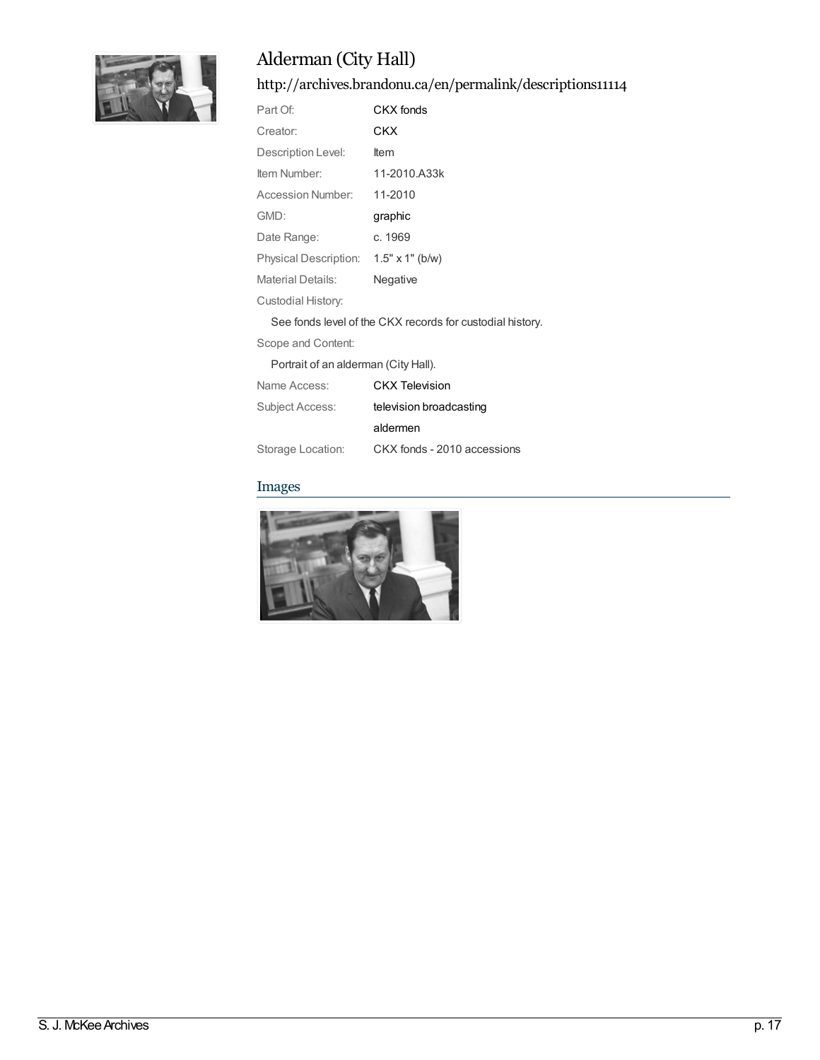

<http://archives.brandonu.ca/en/permalink/descriptions11114>

| Part Of:              | CKX fonds              |
|-----------------------|------------------------|
| Creator:              | CKX                    |
| Description Level:    | ltem                   |
| Item Number:          | 11-2010.A33k           |
| Accession Number:     | 11-2010                |
| GMD:                  | graphic                |
| Date Range:           | c. 1969                |
| Physical Description: | $1.5" \times 1"$ (b/w) |
| Material Details:     | Negative               |
| Custodial History:    |                        |
| __________            |                        |

See fonds level of the CKX records for custodial history.

Scope and Content:

Portrait of an alderman (City Hall).

| Name Access:      | <b>CKX Television</b>       |
|-------------------|-----------------------------|
| Subject Access:   | television broadcasting     |
|                   | aldermen                    |
| Storage Location: | CKX fonds - 2010 accessions |

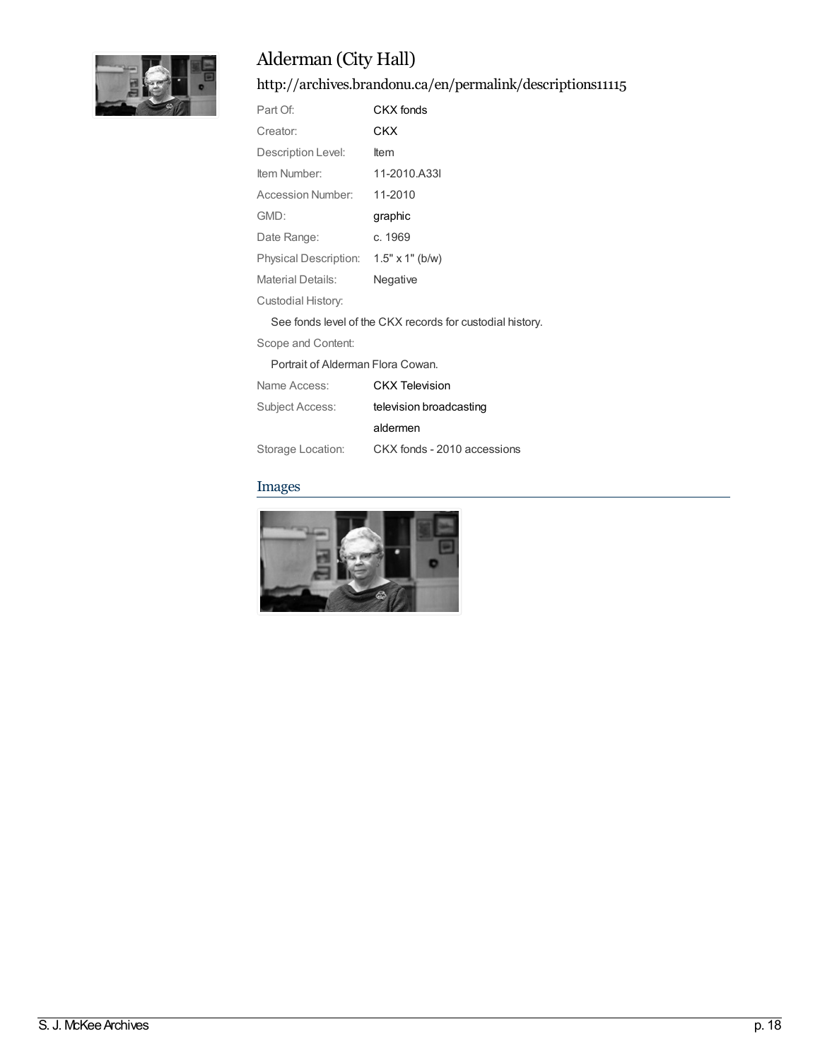

<http://archives.brandonu.ca/en/permalink/descriptions11115>

| Part Of:                 | CKX fonds              |
|--------------------------|------------------------|
| Creator:                 | CKX                    |
| Description Level:       | ltem                   |
| Item Number:             | 11-2010.A33I           |
| Accession Number:        | 11-2010                |
| GMD:                     | graphic                |
| Date Range:              | c. 1969                |
| Physical Description:    | $1.5" \times 1"$ (b/w) |
| <b>Material Details:</b> | Negative               |
| Custodial History:       |                        |
|                          |                        |

See fonds level of the CKX records for custodial history.

Scope and Content:

Portrait of Alderman Flora Cowan.

| Name Access:      | <b>CKX Television</b>       |
|-------------------|-----------------------------|
| Subject Access:   | television broadcasting     |
|                   | aldermen                    |
| Storage Location: | CKX fonds - 2010 accessions |

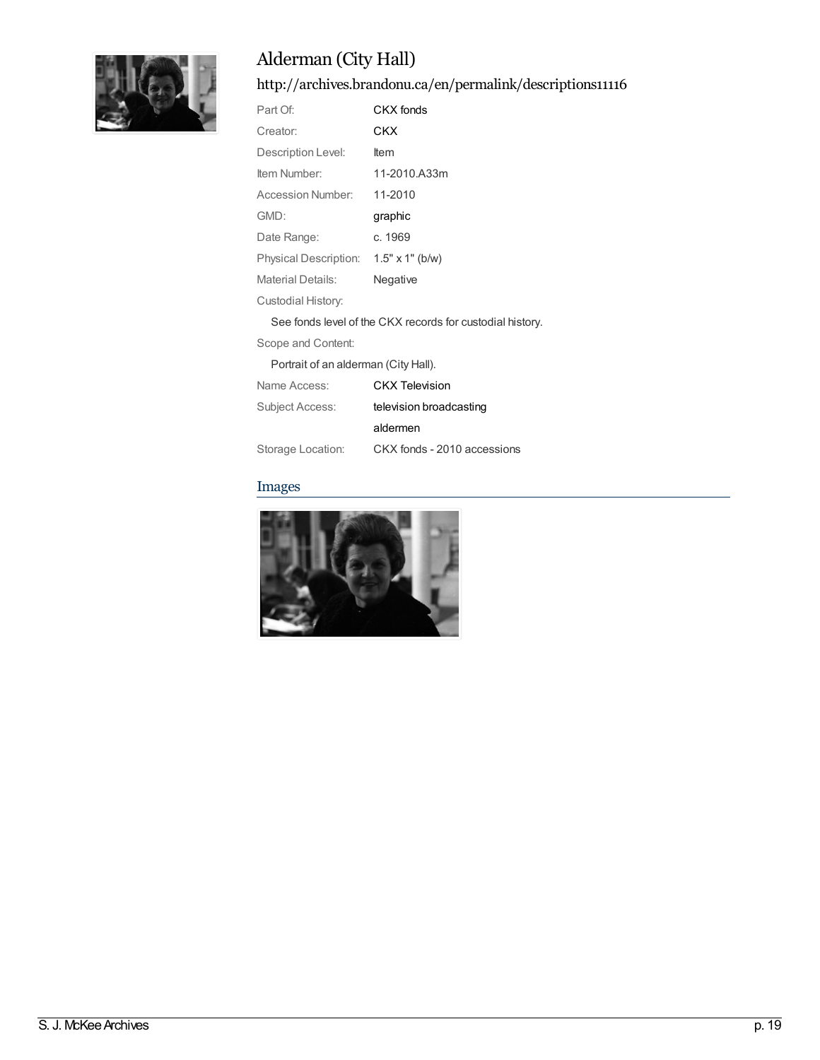

<http://archives.brandonu.ca/en/permalink/descriptions11116>

| Part Of:                                                  | CKX fonds              |
|-----------------------------------------------------------|------------------------|
| Creator:                                                  | CKX                    |
| Description Level:                                        | ltem                   |
| Item Number:                                              | 11-2010.A33m           |
| Accession Number:                                         | 11-2010                |
| GMD:                                                      | graphic                |
| Date Range:                                               | c. 1969                |
| Physical Description:                                     | $1.5" \times 1"$ (b/w) |
| Material Details:                                         | Negative               |
| Custodial History:                                        |                        |
| See fonds level of the CKX records for custodial history. |                        |

Scope and Content:

Portrait of an alderman (City Hall).

| Name Access:      | <b>CKX Television</b>       |
|-------------------|-----------------------------|
| Subject Access:   | television broadcasting     |
|                   | aldermen                    |
| Storage Location: | CKX fonds - 2010 accessions |